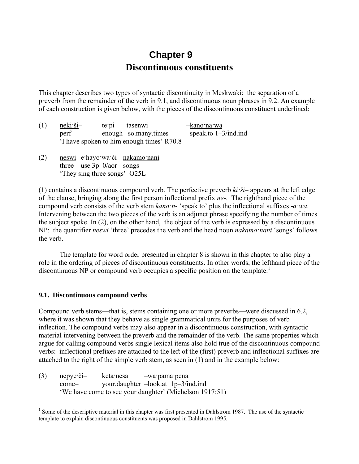# **Chapter 9 Discontinuous constituents**

This chapter describes two types of syntactic discontinuity in Meskwaki: the separation of a preverb from the remainder of the verb in 9.1, and discontinuous noun phrases in 9.2. An example of each construction is given below, with the pieces of the discontinuous constituent underlined:

- (1) neki·ši– te·pi tasenwi –kano·na·wa perf enough so.many.times speak.to 1–3/ind.ind 'I have spoken to him enough times' R70.8
- (2) neswi e·hayo·wa·či nakamo·nani three use 3p–0/aor songs 'They sing three songs' O25L

(1) contains a discontinuous compound verb. The perfective preverb *ki·ši*– appears at the left edge of the clause, bringing along the first person inflectional prefix *ne*-. The righthand piece of the compound verb consists of the verb stem *kano·n*- 'speak to' plus the inflectional suffixes -*a·wa*. Intervening between the two pieces of the verb is an adjunct phrase specifying the number of times the subject spoke. In (2), on the other hand, the object of the verb is expressed by a discontinuous NP: the quantifier *neswi* 'three' precedes the verb and the head noun *nakamo·nani* 'songs' follows the verb.

The template for word order presented in chapter 8 is shown in this chapter to also play a role in the ordering of pieces of discontinuous constituents. In other words, the lefthand piece of the discontinuous NP or compound verb occupies a specific position on the template.<sup>1</sup>

## **9.1. Discontinuous compound verbs**

1

Compound verb stems—that is, stems containing one or more preverbs—were discussed in 6.2, where it was shown that they behave as single grammatical units for the purposes of verb inflection. The compound verbs may also appear in a discontinuous construction, with syntactic material intervening between the preverb and the remainder of the verb. The same properties which argue for calling compound verbs single lexical items also hold true of the discontinuous compound verbs: inflectional prefixes are attached to the left of the (first) preverb and inflectional suffixes are attached to the right of the simple verb stem, as seen in (1) and in the example below:

(3) nepye·či– keta·nesa –wa·pama·pena come– your.daughter –look.at 1p–3/ind.ind 'We have come to see your daughter' (Michelson 1917:51)

 $<sup>1</sup>$  Some of the descriptive material in this chapter was first presented in Dahlstrom 1987. The use of the syntactic</sup> template to explain discontinuous constituents was proposed in Dahlstrom 1995.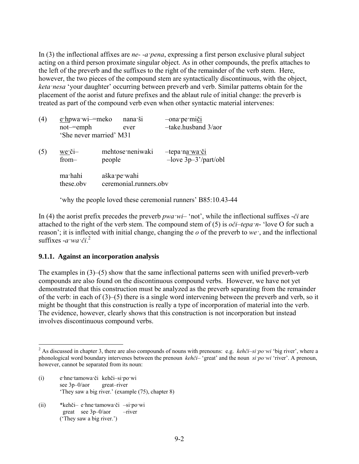In (3) the inflectional affixes are *ne- -a·pena*, expressing a first person exclusive plural subject acting on a third person proximate singular object. As in other compounds, the prefix attaches to the left of the preverb and the suffixes to the right of the remainder of the verb stem. Here, however, the two pieces of the compound stem are syntactically discontinuous, with the object, *keta·nesa* 'your daughter' occurring between preverb and verb. Similar patterns obtain for the placement of the aorist and future prefixes and the ablaut rule of initial change: the preverb is treated as part of the compound verb even when other syntactic material intervenes:

| (4) | $e$ ·hpwa·wi—=meko<br>not-emph<br>'She never married' M31 | nana ši<br>ever                        | -ona pe miči<br>-take.husband 3/aor                 |
|-----|-----------------------------------------------------------|----------------------------------------|-----------------------------------------------------|
| (5) | $we$ $\check{c}$ <i>i</i> $-$<br>from-                    | mehtose neniwaki<br>people             | -tepa n <u>a wa či</u><br>$-$ love $3p-3'/part/obl$ |
|     | ma·hahi<br>these.obv                                      | aška pe wahi<br>ceremonial.runners.obv |                                                     |
|     |                                                           |                                        |                                                     |

'why the people loved these ceremonial runners' B85:10.43-44

In (4) the aorist prefix precedes the preverb *pwa ·wi*– 'not', while the inflectional suffixes -*či* are attached to the right of the verb stem. The compound stem of (5) is *oči–tepa·n*- 'love O for such a reason'; it is inflected with initial change, changing the *o* of the preverb to *we·*, and the inflectional suffixes -*a·wa·či*. 2

#### **9.1.1. Against an incorporation analysis**

The examples in  $(3)$ – $(5)$  show that the same inflectional patterns seen with unified preverb-verb compounds are also found on the discontinuous compound verbs. However, we have not yet demonstrated that this construction must be analyzed as the preverb separating from the remainder of the verb: in each of (3)–(5) there is a single word intervening between the preverb and verb, so it might be thought that this construction is really a type of incorporation of material into the verb. The evidence, however, clearly shows that this construction is not incorporation but instead involves discontinuous compound verbs.

- (i) e·hne·tamowa·či kehči–si·po·wi see 3p–0/aor great–river 'They saw a big river.' (example (75), chapter 8)
- (ii) \*kehči– e·hne·tamowa·či –si·po·wi great see 3p–0/aor –river ('They saw a big river.')

1

<sup>2</sup> As discussed in chapter 3, there are also compounds of nouns with prenouns: e.g. *kehči–si·po·wi* 'big river', where a phonological word boundary intervenes between the prenoun *kehči*– 'great' and the noun *si·po·wi* 'river'. A prenoun, however, cannot be separated from its noun: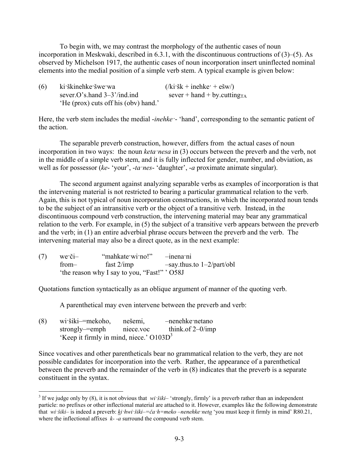To begin with, we may contrast the morphology of the authentic cases of noun incorporation in Meskwaki, described in 6.3.1, with the discontinuous contructions of (3)–(5). As observed by Michelson 1917, the authentic cases of noun incorporation insert uninflected nominal elements into the medial position of a simple verb stem. A typical example is given below:

(6) ki·škinehke·šwe·wa  $(\kappa i \cdot \delta k + \text{in } + e \cdot \delta w)$ sever.O's.hand  $3-3'$ /ind.ind sever + hand + by.cutting<sub>TA</sub> 'He (prox) cuts off his (obv) hand.'

Here, the verb stem includes the medial *-inehke* · 'hand', corresponding to the semantic patient of the action.

The separable preverb construction, however, differs from the actual cases of noun incorporation in two ways: the noun *keta·nesa* in (3) occurs between the preverb and the verb, not in the middle of a simple verb stem, and it is fully inflected for gender, number, and obviation, as well as for possessor (*ke*- 'your', -*ta·nes*- 'daughter', -*a* proximate animate singular).

The second argument against analyzing separable verbs as examples of incorporation is that the intervening material is not restricted to bearing a particular grammatical relation to the verb. Again, this is not typical of noun incorporation constructions, in which the incorporated noun tends to be the subject of an intransitive verb or the object of a transitive verb. Instead, in the discontinuous compound verb construction, the intervening material may bear any grammatical relation to the verb. For example, in (5) the subject of a transitive verb appears between the preverb and the verb; in (1) an entire adverbial phrase occurs between the preverb and the verb. The intervening material may also be a direct quote, as in the next example:

| (7) | $we \cdot \check{c}$ i- | "mahkate wi no!"                             | $-$ inena $\overline{\phantom{a}}$ ni |
|-----|-------------------------|----------------------------------------------|---------------------------------------|
|     | from–                   | fast $2/imp$                                 | $-say.$ thus.to $1-2$ /part/obl       |
|     |                         | 'the reason why I say to you, "Fast!" ' O58J |                                       |

Quotations function syntactically as an oblique argument of manner of the quoting verb.

A parenthetical may even intervene between the preverb and verb:

(8) wi·šiki–=mekoho, nešemi, –nenehke·netano strongly–=emph niece.voc think.of 2–0/imp 'Keep it firmly in mind, niece.'  $O103D<sup>3</sup>$ 

<u>.</u>

Since vocatives and other parentheticals bear no grammatical relation to the verb, they are not possible candidates for incorporation into the verb. Rather, the appearance of a parenthetical between the preverb and the remainder of the verb in (8) indicates that the preverb is a separate constituent in the syntax.

<sup>&</sup>lt;sup>3</sup> If we judge only by (8), it is not obvious that *wi ·šiki*– 'strongly, firmly' is a preverb rather than an independent particle: no prefixes or other inflectional material are attached to it. However, examples like the following demonstrate that *wi·šiki*– is indeed a preverb: *ki·hwi·šiki–=ča·h=meko* –*nenehke·neta* 'you must keep it firmly in mind' R80.21, where the inflectional affixes *k- -a* surround the compound verb stem.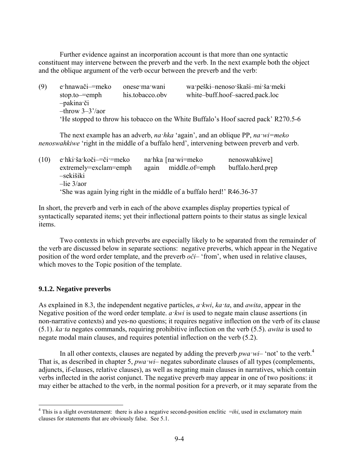Further evidence against an incorporation account is that more than one syntactic constituent may intervene between the preverb and the verb. In the next example both the object and the oblique argument of the verb occur between the preverb and the verb:

(9) e·hnawači–=meko onese·ma·wani wa·peški–nenoso·škaši–mi·ša·meki stop.to–=emph his.tobacco.obv white–buff.hoof–sacred.pack.loc –pakina·či –throw 3–3'/aor 'He stopped to throw his tobacco on the White Buffalo's Hoof sacred pack' R270.5-6

The next example has an adverb, *na·hka* 'again', and an oblique PP, *na·wi=meko nenoswahkiwe* 'right in the middle of a buffalo herd', intervening between preverb and verb.

| (10) | $e$ ·hki·ša·koči— $\ddot{e}$ i·=meko                                   |       | na hka [na wi=meko | nenoswahkiwe]     |
|------|------------------------------------------------------------------------|-------|--------------------|-------------------|
|      | $extremely = exclam = embh$                                            | again | middle.of=emph     | buffalo.herd.prep |
|      | -sekišiki                                                              |       |                    |                   |
|      | $-$ lie $3/a$ or                                                       |       |                    |                   |
|      | 'She was again lying right in the middle of a buffalo herd!' R46.36-37 |       |                    |                   |

In short, the preverb and verb in each of the above examples display properties typical of syntactically separated items; yet their inflectional pattern points to their status as single lexical items.

Two contexts in which preverbs are especially likely to be separated from the remainder of the verb are discussed below in separate sections: negative preverbs, which appear in the Negative position of the word order template, and the preverb *oči*– 'from', when used in relative clauses, which moves to the Topic position of the template.

## **9.1.2. Negative preverbs**

1

As explained in 8.3, the independent negative particles, *a·kwi*, *ka·ta*, and *awita*, appear in the Negative position of the word order template. *a·kwi* is used to negate main clause assertions (in non-narrative contexts) and yes-no questions; it requires negative inflection on the verb of its clause (5.1). *ka·ta* negates commands, requiring prohibitive inflection on the verb (5.5). *awita* is used to negate modal main clauses, and requires potential inflection on the verb (5.2).

In all other contexts, clauses are negated by adding the preverb *pwa*  $wi$ – 'not' to the verb.<sup>4</sup> That is, as described in chapter 5, *pwa·wi*– negates subordinate clauses of all types (complements, adjuncts, if-clauses, relative clauses), as well as negating main clauses in narratives, which contain verbs inflected in the aorist conjunct. The negative preverb may appear in one of two positions: it may either be attached to the verb, in the normal position for a preverb, or it may separate from the

<sup>&</sup>lt;sup>4</sup> This is a slight overstatement: there is also a negative second-position enclitic  $=$ *ihi*, used in exclamatory main clauses for statements that are obviously false. See 5.1.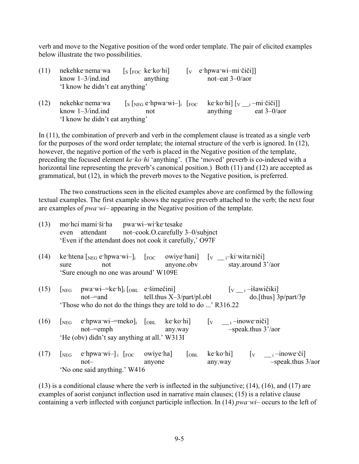verb and move to the Negative position of the word order template. The pair of elicited examples below illustrate the two possibilities.

| (11) | nekehke nema wa<br>know $1-3$ /ind.ind                                    | $\left[ \text{s} \left[ \text{Foc} \text{ ke-} \text{ko-} \text{hi} \right] \right]$<br>anything                                                                                                                                                                                                                                                                                                                                                                      | $\mathbf{v}$ | e·hpwa·wi-mi·čiči]]<br>not-eat $3-0/a$ or                                                                    |
|------|---------------------------------------------------------------------------|-----------------------------------------------------------------------------------------------------------------------------------------------------------------------------------------------------------------------------------------------------------------------------------------------------------------------------------------------------------------------------------------------------------------------------------------------------------------------|--------------|--------------------------------------------------------------------------------------------------------------|
|      | 'I know he didn't eat anything'                                           |                                                                                                                                                                                                                                                                                                                                                                                                                                                                       |              |                                                                                                              |
| (12) | nekehke nema wa<br>know $1-3$ /ind.ind<br>'I know he didn't eat anything' | $\left[\right]$ $\left[\right]$ $\left[\right]$ $\left[\right]$ $\left[\right]$ $\left[\right]$ $\left[\right]$ $\left[\right]$ $\left[\right]$ $\left[\right]$ $\left[\right]$ $\left[\right]$ $\left[\right]$ $\left[\right]$ $\left[\right]$ $\left[\right]$ $\left[\right]$ $\left[\right]$ $\left[\right]$ $\left[\right]$ $\left[\right]$ $\left[\right]$ $\left[\right]$ $\left[\right]$ $\left[\right]$ $\left[\right]$ $\left[\right]$ $\left[\right$<br>not |              | ke ko hi $\begin{bmatrix} v & -mi \check{c} \check{i} \check{j} \end{bmatrix}$<br>eat $3-0/a$ or<br>anything |

In (11), the combination of preverb and verb in the complement clause is treated as a single verb for the purposes of the word order template; the internal structure of the verb is ignored. In (12), however, the negative portion of the verb is placed in the Negative position of the template, preceding the focused element *ke·ko·hi* 'anything'. (The 'moved' preverb is co-indexed with a horizontal line representing the preverb's canonical position.) Both (11) and (12) are accepted as grammatical, but (12), in which the preverb moves to the Negative position, is preferred.

The two constructions seen in the elicited examples above are confirmed by the following textual examples. The first example shows the negative preverb attached to the verb; the next four are examples of *pwa·wi*– appearing in the Negative position of the template.

| (13) | even | mo·hci mami·ši·ha pwa·wi-wi·ke·tesake<br>'Even if the attendant does not cook it carefully,' O97F                                                                                                                  | attendant not-cook.O.carefully 3-0/subjnct |                                                                                                                |
|------|------|--------------------------------------------------------------------------------------------------------------------------------------------------------------------------------------------------------------------|--------------------------------------------|----------------------------------------------------------------------------------------------------------------|
| (14) | sure | ke htena $\lceil_{NEG}$ e hpwa wi- $\lceil_{i}$ $\lceil_{FOC}$ owiye hani $\lceil_{V}$ $\lceil_{i}$ ki wita niči<br>not<br>'Sure enough no one was around' W109E                                                   |                                            | anyone.obv stay.around 3'/aor                                                                                  |
| (15) |      | $[\text{neg} \quad \text{pwa-wi} = \text{ke'h}]$ <sub>i</sub> $[\text{obj} \quad \text{e'sime" c})$<br>Those who do not do the things they are told to do ' R316.22                                                | $not = and$ $tell. thus X-3/part/pl.obl$   | $\begin{bmatrix} v & i - i \end{bmatrix}$ šawičiki<br>$\omega$ [thus] 3p/part/3p                               |
| (16) | NEG  | $not$ = $emph$<br>'He (obv) didn't say anything at all.' W313I                                                                                                                                                     | any.way                                    | e hpwa wi—we meko] <sub>i</sub> $[OBL$ ke ko hi] $[V$ __ <sub>i</sub> -inowe niči]<br>$-speak.$ thus $3'/a$ or |
| (17) |      | $[\text{NEG}\ \text{e}^{\cdot \text{h} \text{p} \text{w} \text{a}^{\cdot \text{w} \text{i}} -]$ i $[\text{Foc}\ \text{owi} \text{y} \text{e}^{\cdot \text{h} \text{a}}]$<br>$not-$<br>'No one said anything.' W416 | [OBL]<br>anyone                            | ke·ko·hi] $[v \quad \underline{\quad} i$ -inowe·či]<br>$-speak.$ thus $3/aor$<br>any.way                       |

(13) is a conditional clause where the verb is inflected in the subjunctive; (14), (16), and (17) are examples of aorist conjunct inflection used in narrative main clauses; (15) is a relative clause containing a verb inflected with conjunct participle inflection. In (14) *pwa·wi*– occurs to the left of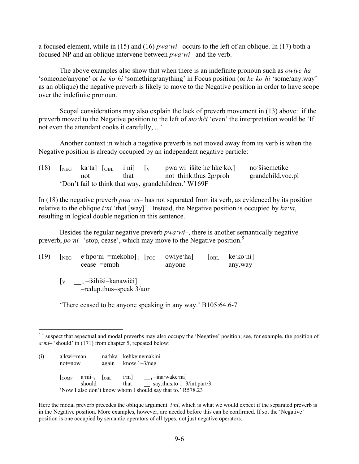a focused element, while in (15) and (16) *pwa·wi*– occurs to the left of an oblique. In (17) both a focused NP and an oblique intervene between *pwa·wi*– and the verb.

The above examples also show that when there is an indefinite pronoun such as *owiye·ha* 'someone/anyone' or *ke·ko·hi* 'something/anything' in Focus position (or *ke·ko·hi* 'some/any.way' as an oblique) the negative preverb is likely to move to the Negative position in order to have scope over the indefinite pronoun.

Scopal considerations may also explain the lack of preverb movement in (13) above: if the preverb moved to the Negative position to the left of *mo·hči* 'even' the interpretation would be 'If not even the attendant cooks it carefully, ...'

Another context in which a negative preverb is not moved away from its verb is when the Negative position is already occupied by an independent negative particle:

| (18)                                                 |  | $\lceil \text{NEG} \rceil$ kata $\lceil \text{OBL} \rceil$ ini $\lceil \text{v} \rceil$ |  |      |  | pwa wi-išite he hke ko, no šisemetike |                   |
|------------------------------------------------------|--|-----------------------------------------------------------------------------------------|--|------|--|---------------------------------------|-------------------|
|                                                      |  | not                                                                                     |  | that |  | not-think.thus 2p/proh                | grandchild.voc.pl |
| 'Don't fail to think that way, grandchildren.' W169F |  |                                                                                         |  |      |  |                                       |                   |

In (18) the negative preverb *pwa·wi*– has not separated from its verb, as evidenced by its position relative to the oblique *i·ni* 'that [way]'. Instead, the Negative position is occupied by *ka·ta*, resulting in logical double negation in this sentence.

Besides the regular negative preverb *pwa wi*–, there is another semantically negative preverb, *po*  $ni$ – 'stop, cease', which may move to the Negative position.<sup>5</sup>

| (19) | $[\text{neg}$ e·hpo·ni—=mekoho]; $[\text{foc}$ owiye·ha]<br>cease—=emph              | anyone | $\begin{bmatrix} \text{OBL} & \text{ke-ko-hi} \end{bmatrix}$<br>any.way |  |
|------|--------------------------------------------------------------------------------------|--------|-------------------------------------------------------------------------|--|
|      | $\begin{bmatrix} v & i - i \overrightarrow{si} \end{bmatrix}$ i – išihiši – kanawiči |        |                                                                         |  |

–redup.thus–speak 3/aor

'There ceased to be anyone speaking in any way.' B105:64.6-7

<sup>&</sup>lt;sup>5</sup> I suspect that aspectual and modal preverbs may also occupy the 'Negative' position; see, for example, the position of *a·mi*– 'should' in (171) from chapter 5, repeated below:

| (i) | a·kwi=mani<br>not=now                                      |  | na hka kehke nemakini<br>again know $1-3$ /neg |                                                                                                                                                                                      |  |  |
|-----|------------------------------------------------------------|--|------------------------------------------------|--------------------------------------------------------------------------------------------------------------------------------------------------------------------------------------|--|--|
|     | should-                                                    |  | that                                           | $\begin{bmatrix} \text{COMP} & \text{a'mi-} \\ \text{OBL} & \text{irni} \end{bmatrix}$ $\begin{bmatrix} \text{ini} \\ \text{ini} \end{bmatrix}$<br>$-say.$ thus.to $1-3/int.$ part/3 |  |  |
|     | 'Now I also don't know whom I should say that to.' R578.23 |  |                                                |                                                                                                                                                                                      |  |  |

Here the modal preverb precedes the oblique argument *i·ni*, which is what we would expect if the separated preverb is in the Negative position. More examples, however, are needed before this can be confirmed. If so, the 'Negative' position is one occupied by semantic operators of all types, not just negative operators.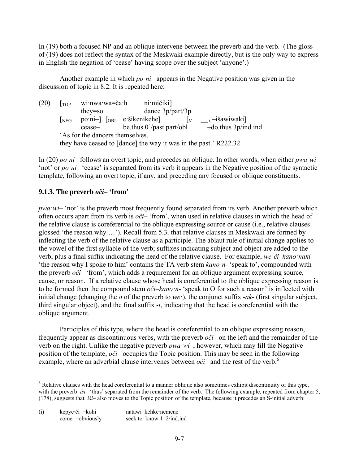In (19) both a focused NP and an oblique intervene between the preverb and the verb. (The gloss of (19) does not reflect the syntax of the Meskwaki example directly, but is the only way to express in English the negation of 'cease' having scope over the subject 'anyone'.)

Another example in which *po·ni*– appears in the Negative position was given in the discussion of topic in 8.2. It is repeated here:

 $(20)$   $\lceil$ <sub>TOP</sub> wi·nwa·wa=ča·h ni·mičiki] they=so dance 3p/part/3p [NEG po·ni-] i [OBL e·šikenikehe]  $\begin{bmatrix} v & -i & -i \end{bmatrix}$  i –išawiwaki]<br>cease-<br>be thus 0'/past.part/obl –do.thus 3p/ind.ind  $cease$  be.thus 0'/past.part/obl 'As for the dancers themselves, they have ceased to [dance] the way it was in the past.' R222.32

In (20) *po·ni*– follows an overt topic, and precedes an oblique. In other words, when either *pwa·wi*– 'not' or *po·ni*– 'cease' is separated from its verb it appears in the Negative position of the syntactic template, following an overt topic, if any, and preceding any focused or oblique constituents.

## **9.1.3. The preverb** *oči***– 'from'**

1

*pwa wi*– 'not' is the preverb most frequently found separated from its verb. Another preverb which often occurs apart from its verb is *oči*– 'from', when used in relative clauses in which the head of the relative clause is coreferential to the oblique expressing source or cause (i.e., relative clauses glossed 'the reason why …'). Recall from 5.3. that relative clauses in Meskwaki are formed by inflecting the verb of the relative clause as a participle. The ablaut rule of initial change applies to the vowel of the first syllable of the verb; suffixes indicating subject and object are added to the verb, plus a final suffix indicating the head of the relative clause. For example, *we·či–kano·naki* 'the reason why I spoke to him' contains the TA verb stem *kano·n*- 'speak to', compounded with the preverb *oči*– 'from', which adds a requirement for an oblique argument expressing source, cause, or reason. If a relative clause whose head is coreferential to the oblique expressing reason is to be formed then the compound stem *oči–kano·n*- 'speak to O for such a reason' is inflected with initial change (changing the *o* of the preverb to *we·*), the conjunct suffix -*ak*- (first singular subject, third singular object), and the final suffix -*i*, indicating that the head is coreferential with the oblique argument.

Participles of this type, where the head is coreferential to an oblique expressing reason, frequently appear as discontinuous verbs, with the preverb *oči*– on the left and the remainder of the verb on the right. Unlike the negative preverb *pwa·wi*–, however, which may fill the Negative position of the template, *oči*– occupies the Topic position. This may be seen in the following example, where an adverbial clause intervenes between  $o\check{c}i$ – and the rest of the verb.<sup>6</sup>

 $6$  Relative clauses with the head coreferential to a manner oblique also sometimes exhibit discontinuity of this type, with the preverb *iši*– 'thus' separated from the remainder of the verb. The following example, repeated from chapter 5, (178), suggests that *iši*– also moves to the Topic position of the template, because it precedes an S-initial adverb:

<sup>(</sup>i) kepye·či–=kohi –natawi–kehke·nemene come–=obviously –seek.to–know 1–2/ind.ind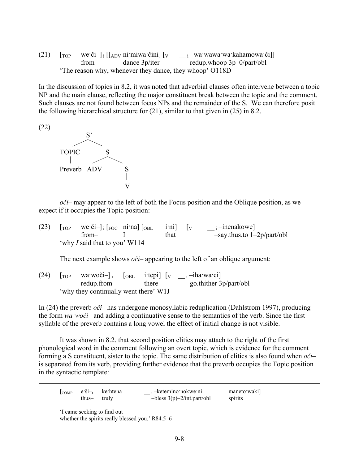(21)  $\begin{bmatrix} \text{Top} & \text{we'} \check{\text{c}} \check{\text{i}} - \end{bmatrix}$  i  $\begin{bmatrix} \text{Apv} & \text{ni'} \text{mi} \check{\text{wa'}} & \check{\text{c}} \end{bmatrix}$  [v  $\begin{bmatrix} \text{v} & \text{vi} & \text{v} \end{bmatrix}$  = wawawa·wa·kahamowa·či]] from dance 3p/iter –redup.whoop 3p–0/part/obl 'The reason why, whenever they dance, they whoop' O118D

In the discussion of topics in 8.2, it was noted that adverbial clauses often intervene between a topic NP and the main clause, reflecting the major constituent break between the topic and the comment. Such clauses are not found between focus NPs and the remainder of the S. We can therefore posit the following hierarchical structure for (21), similar to that given in (25) in 8.2.



*oči*– may appear to the left of both the Focus position and the Oblique position, as we expect if it occupies the Topic position:

(23)  $[\text{top} \text{we'}\check{c}i]_i [\text{Foc} \text{ni'}na] [\text{out} \text{i'}ni] [\text{v} \text{u'}-i\text{in}a]$ from– I that –say.thus.to 1–2p/part/obl 'why *I* said that to you' W114

The next example shows *oči*– appearing to the left of an oblique argument:

(24)  $[\text{top} \text{wa:woči-}]_i$   $[\text{obj} \text{i:} \text{tepi}]$   $[\text{v} \text{m}-\text{i} -\text{i} \text{h} \text{a:} \text{wa:} \text{ci}]$ <br>redup.from-<br>there  $-\text{go.}$ thither 3 redup.from– there –go.thither 3p/part/obl 'why they continually went there' W1J

In (24) the preverb *oči*– has undergone monosyllabic reduplication (Dahlstrom 1997), producing the form *wa·woči*– and adding a continuative sense to the semantics of the verb. Since the first syllable of the preverb contains a long vowel the effect of initial change is not visible.

It was shown in 8.2. that second position clitics may attach to the right of the first phonological word in the comment following an overt topic, which is evidence for the comment forming a S constituent, sister to the topic. The same distribution of clitics is also found when *oči*– is separated from its verb, providing further evidence that the preverb occupies the Topic position in the syntactic template:

|             | $\begin{bmatrix} \text{COMP} & e \cdot \text{Si} \\ -\text{i} & \text{Ke} \cdot \text{htena} \end{bmatrix}$ | <sub>i</sub> -ketemino nokwe ni | maneto waki |
|-------------|-------------------------------------------------------------------------------------------------------------|---------------------------------|-------------|
| thus- truly |                                                                                                             | $-bless 3(p) - 2/intpart/obl$   | spirits     |

'I came seeking to find out

1

whether the spirits really blessed you.' R84.5–6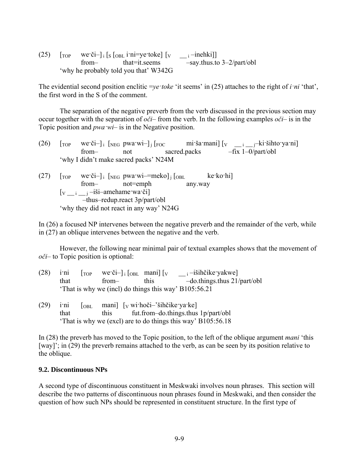(25)  $[\text{top} \text{we'}\check{c}i]$  i  $[s \text{[<sub>obl</sub>} i \check{m}i=ye' toke]$   $[v \quad i=inehki]]$  from– that=it.seems –say.thus.to 3–2/part/obl 'why he probably told you that' W342G

The evidential second position enclitic =*ye·toke* 'it seems' in (25) attaches to the right of *i·ni* 'that', the first word in the S of the comment.

The separation of the negative preverb from the verb discussed in the previous section may occur together with the separation of *oči*– from the verb. In the following examples *oči*– is in the Topic position and *pwa·wi*– is in the Negative position.

- (26)  $\begin{bmatrix} \text{Top} & \text{we'} \text{či} \text{-} \end{bmatrix}$  i  $\begin{bmatrix} \text{NEG} \text{pwa'wi} \text{-} \end{bmatrix}$  j  $\begin{bmatrix} \text{Foc} & \text{mi'} \text{ša'mani} \end{bmatrix}$   $\begin{bmatrix} v & \text{di'} \text{g} \text{mato'ya'ni} \end{bmatrix}$  from– not sacred.packs –fix 1–0/part/obl 'why I didn't make sacred packs' N24M
- (27)  $\begin{bmatrix} \text{Top} & \text{we'} \check{\text{CI}} \text{-} \text{I} \end{bmatrix}$  i  $\begin{bmatrix} \text{NEG} & \text{pwa'} \text{wi} \text{-} \text{meko} \text{I} \text{I} \end{bmatrix}$  [OBL ke·ko·hi] from– not=emph any.way  $[v_{\_\_i \_\_j}$ –iši–amehame·wa·či] –thus–redup.react 3p/part/obl 'why they did not react in any way' N24G

In (26) a focused NP intervenes between the negative preverb and the remainder of the verb, while in (27) an oblique intervenes between the negative and the verb.

However, the following near minimal pair of textual examples shows that the movement of *oči*– to Topic position is optional:

- (28) i·ni  $[\text{Top}$  we·či- $]_i [\text{OBL}$  mani $] [v]$  \_\_<sub>i</sub> -išihčike·yakwe] that from– this –do.things.thus 21/part/obl 'That is why we (incl) do things this way' B105:56.21
- (29) i·ni [OBL mani] [V wi·hoči–'šihčike·ya·ke] that this fut.from–do.things.thus 1p/part/obl 'That is why we (excl) are to do things this way' B105:56.18

In (28) the preverb has moved to the Topic position, to the left of the oblique argument *mani* 'this [way]'; in (29) the preverb remains attached to the verb, as can be seen by its position relative to the oblique.

#### **9.2. Discontinuous NPs**

A second type of discontinuous constituent in Meskwaki involves noun phrases. This section will describe the two patterns of discontinuous noun phrases found in Meskwaki, and then consider the question of how such NPs should be represented in constituent structure. In the first type of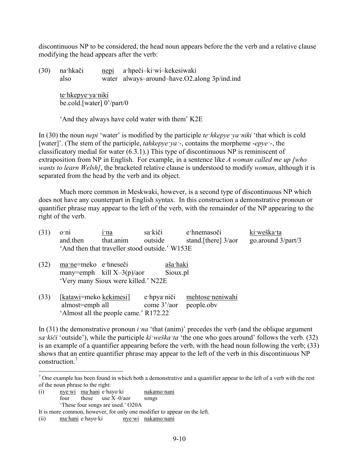discontinuous NP to be considered, the head noun appears before the the verb and a relative clause modifying the head appears after the verb:

(30) na·hkači nepi a·hpeči–ki·wi–kekesiwaki also water always–around–have.O2.along 3p/ind.ind

> te·hkepye·ya·niki be.cold.[water] 0'/part/0

'And they always have cold water with them' K2E

In (30) the noun *nepi* 'water' is modified by the participle *te·hkepye·ya·niki* 'that which is cold [water]'. (The stem of the participle, *tahkepye·ya·*-, contains the morpheme -*epye·*-, the classificatory medial for water (6.3.1).) This type of discontinuous NP is reminiscent of extraposition from NP in English. For example, in a sentence like *A woman called me up [who wants to learn Welsh]*, the bracketed relative clause is understood to modify *woman*, although it is separated from the head by the verb and its object.

Much more common in Meskwaki, however, is a second type of discontinuous NP which does not have any counterpart in English syntax. In this construction a demonstrative pronoun or quantifier phrase may appear to the left of the verb, with the remainder of the NP appearing to the right of the verb.

| (31) | o'ni<br>and then                          | 1 <sup>-</sup> na<br>that.anim                                      | sa kiči<br>outside<br>'And then that traveller stood outside.' W153E | e hnemasoči<br>stand. [there] $3/a$ or | ki weška ta<br>go.around $3$ /part/3 |
|------|-------------------------------------------|---------------------------------------------------------------------|----------------------------------------------------------------------|----------------------------------------|--------------------------------------|
| (32) | ma ne=meko e hneseči                      | many=emph kill $X-3(p)/a$ or<br>'Very many Sioux were killed.' N22E | aša·haki<br>Sioux.pl                                                 |                                        |                                      |
| (33) | [katawi=meko kekimesi]<br>almost=emph all | 'Almost all the people came.' R172.22                               | e hpya niči<br>come 3'/aor                                           | mehtose neniwahi<br>people.obv         |                                      |

In (31) the demonstrative pronoun *i ·na* 'that (anim)' precedes the verb (and the oblique argument *sa·kiči* 'outside'), while the participle *ki·weška·ta* 'the one who goes around' follows the verb. (32) is an example of a quantifier appearing before the verb, with the head noun following the verb; (33) shows that an entire quantifier phrase may appear to the left of the verb in this discontinuous NP construction.<sup>7</sup>

<u>.</u>

 $<sup>7</sup>$  One example has been found in which both a demonstrative and a quantifier appear to the left of a verb with the rest</sup> of the noun phrase to the right:

<sup>(</sup>i) nye·wi ma·hani e·hayo·ki nakamo·nani four these use X–0/aor songs 'These four songs are used.' O20A

It is more common, however, for only one modifier to appear on the left.

<sup>(</sup>ii) ma·hani e·hayo·ki nye·wi nakamo·nani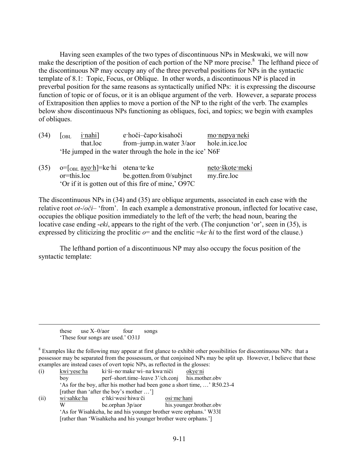Having seen examples of the two types of discontinuous NPs in Meskwaki, we will now make the description of the position of each portion of the NP more precise.<sup>8</sup> The lefthand piece of the discontinuous NP may occupy any of the three preverbal positions for NPs in the syntactic template of 8.1: Topic, Focus, or Oblique. In other words, a discontinuous NP is placed in preverbal position for the same reasons as syntactically unified NPs: it is expressing the discourse function of topic or of focus, or it is an oblique argument of the verb. However, a separate process of Extraposition then applies to move a portion of the NP to the right of the verb. The examples below show discontinuous NPs functioning as obliques, foci, and topics; we begin with examples of obliques.

| (34) | $\overline{\text{OBL}}$ | <u>i nahi</u> ] | e hoči-čapo kisahoči                                     | mo nepya neki   |
|------|-------------------------|-----------------|----------------------------------------------------------|-----------------|
|      |                         | that.loc        | from-jump.in.water $3/a$                                 | hole.in.ice.loc |
|      |                         |                 | 'He jumped in the water through the hole in the ice' N6F |                 |

| (35) $o=[\text{OBL } \frac{\text{ayo} \cdot \text{h}}{\text{e}}] = \text{ke} \cdot \text{hi}$ otenate ke |                          | neto škote meki |
|----------------------------------------------------------------------------------------------------------|--------------------------|-----------------|
| or=this.loc                                                                                              | be gotten from 0/subjnct | my fire loc     |
| 'Or if it is gotten out of this fire of mine,' O97C                                                      |                          |                 |

The discontinuous NPs in (34) and (35) are oblique arguments, associated in each case with the relative root *ot*-/*oči*– 'from'. In each example a demonstrative pronoun, inflected for locative case, occupies the oblique position immediately to the left of the verb; the head noun, bearing the locative case ending -*eki*, appears to the right of the verb. (The conjunction 'or', seen in (35), is expressed by cliticizing the proclitic  $o=$  and the enclitic  $=ke<sup>th</sup>$  *hi* to the first word of the clause.)

The lefthand portion of a discontinuous NP may also occupy the focus position of the syntactic template:

these use X-0/aor four songs 'These four songs are used.' O31J

 $8$  Examples like the following may appear at first glance to exhibit other possibilities for discontinuous NPs: that a possessor may be separated from the possessum, or that conjoined NPs may be split up. However, I believe that these examples are instead cases of overt topic NPs, as reflected in the glosses:

| (i)  | kwi yese ha | ki ši-no make wi-na kwa niči                                             |             | okye ni                 |
|------|-------------|--------------------------------------------------------------------------|-------------|-------------------------|
|      | boy         | perf-short.time-leave 3'/ch.conj                                         |             | his.mother.obv          |
|      |             | 'As for the boy, after his mother had been gone a short time, ' R50.23-4 |             |                         |
|      |             | [rather than 'after the boy's mother ']                                  |             |                         |
| (ii) | wi sahke ha | e hki wesi hiwa či                                                       | osi me hani |                         |
|      |             | be.orphan $3p/a$ or                                                      |             | his.younger.brother.obv |
|      |             | 'As for Wisahkeha, he and his younger brother were orphans.' W33I        |             |                         |
|      |             | [rather than 'Wisahkeha and his younger brother were orphans.']          |             |                         |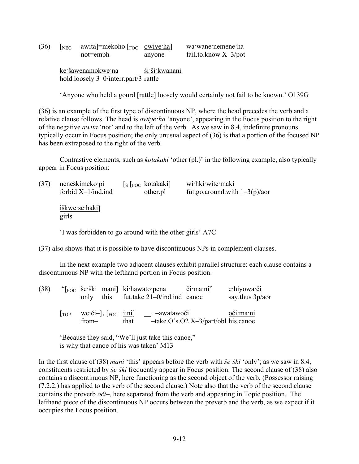(36)  $\left[\text{neg}\right]$  awita]=mekoho  $\left[\text{neg}\right]$  wawane nemene ha not=emph anyone fail.to.know X-3/pot

> ke·šawenamokwe·na ši·ši·kwanani hold.loosely 3–0/interr.part/3 rattle

'Anyone who held a gourd [rattle] loosely would certainly not fail to be known.' O139G

(36) is an example of the first type of discontinuous NP, where the head precedes the verb and a relative clause follows. The head is *owiye·ha* 'anyone', appearing in the Focus position to the right of the negative *awita* 'not' and to the left of the verb. As we saw in 8.4, indefinite pronouns typically occur in Focus position; the only unusual aspect of (36) is that a portion of the focused NP has been extraposed to the right of the verb.

Contrastive elements, such as *kotakaki* 'other (pl.)' in the following example, also typically appear in Focus position:

| (37) | neneškimeko pi         | $\lfloor s \lfloor$ Foc kotakaki | wi hki wite maki                 |
|------|------------------------|----------------------------------|----------------------------------|
|      | forbid $X-1/ind$ .ind  | other.pl                         | fut.go.around.with $1-3(p)/a$ or |
|      | iškwe se haki<br>girls |                                  |                                  |

'I was forbidden to go around with the other girls' A7C

(37) also shows that it is possible to have discontinuous NPs in complement clauses.

In the next example two adjacent clauses exhibit parallel structure: each clause contains a discontinuous NP with the lefthand portion in Focus position.

| (38) |            |       |      | "[ <sub>FOC</sub> še ški mani] ki hawato pena<br>only this fut.take 21–0/ind.ind canoe                                                                                            | či ma ni"                                                | e hiyowa či<br>say thus $3p/a$ |
|------|------------|-------|------|-----------------------------------------------------------------------------------------------------------------------------------------------------------------------------------|----------------------------------------------------------|--------------------------------|
|      | <b>TOP</b> | from— | that | we či- $\left  \cdot \right $ $\left[ \begin{matrix} FOC \\ FOC \end{matrix} \right]$ $\left  \cdot \right $ $\left  \cdot \right $ $\left  \cdot \right $ $\left  \cdot \right $ | $-\text{take. O's. O2 } X - 3\text{/part/obl}$ his.canoe | oči ma ni                      |

'Because they said, "We'll just take this canoe," is why that canoe of his was taken' M13

In the first clause of (38) *mani* 'this' appears before the verb with *še·ški* 'only'; as we saw in 8.4, constituents restricted by *še·ški* frequently appear in Focus position. The second clause of (38) also contains a discontinuous NP, here functioning as the second object of the verb. (Possessor raising (7.2.2.) has applied to the verb of the second clause.) Note also that the verb of the second clause contains the preverb *oči*–, here separated from the verb and appearing in Topic position. The lefthand piece of the discontinuous NP occurs between the preverb and the verb, as we expect if it occupies the Focus position.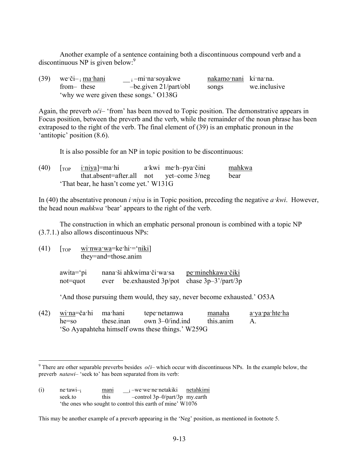Another example of a sentence containing both a discontinuous compound verb and a discontinuous NP is given below: $9$ 

| $(39)$ we či- $\frac{1}{2}$ ma hani | $\frac{1}{2}$ –mina soyakwe            | nakamo nani ki na na. |              |
|-------------------------------------|----------------------------------------|-----------------------|--------------|
| from-these                          | $-be$ given 21/part/obl                | songs                 | we.inclusive |
|                                     | 'why we were given these songs.' O138G |                       |              |

Again, the preverb *oči*– 'from' has been moved to Topic position. The demonstrative appears in Focus position, between the preverb and the verb, while the remainder of the noun phrase has been extraposed to the right of the verb. The final element of (39) is an emphatic pronoun in the 'antitopic' position (8.6).

It is also possible for an NP in topic position to be discontinuous:

| (40) |                                        | $\lceil$ <sub>TOP</sub> i'niya]=ma·hi    | a kwi me h-pya čini | mahkwa |
|------|----------------------------------------|------------------------------------------|---------------------|--------|
|      |                                        | that absent=after all not yet-come 3/neg |                     | bear   |
|      | 'That bear, he hasn't come yet.' W131G |                                          |                     |        |

In (40) the absentative pronoun *i·niya* is in Topic position, preceding the negative *a·kwi*. However, the head noun *mahkwa* 'bear' appears to the right of the verb.

The construction in which an emphatic personal pronoun is combined with a topic NP (3.7.1.) also allows discontinuous NPs:

 $(41)$   $\lceil$ <sub>TOP</sub> wi·nwa·wa=ke·hi·=·niki] they=and=those.anim

| awita='pi |      | nana ši ahkwima či wa sa                    | pe minehkawa čiki |
|-----------|------|---------------------------------------------|-------------------|
| not=quot  | ever | be exhausted $3p/pot$ chase $3p-3'/part/3p$ |                   |

'And those pursuing them would, they say, never become exhausted.' O53A

| (42) <u>wi·na</u> =ča·hi ma·hani | tepe netamwa                                     | <u>manaha</u> | a ya pa hte ha |
|----------------------------------|--------------------------------------------------|---------------|----------------|
|                                  | $he = so$ these inan own 3–0/ind ind             | this anim     |                |
|                                  | 'So Ayapahteha himself owns these things.' W259G |               |                |

<sup>&</sup>lt;u>.</u> <sup>9</sup> There are other separable preverbs besides  $o\tilde{c}i$ – which occur with discontinuous NPs. In the example below, the preverb *natawi*– 'seek to' has been separated from its verb:

This may be another example of a preverb appearing in the 'Neg' position, as mentioned in footnote 5.

<sup>(</sup>i) ne·tawi- $\frac{1}{i}$  mani  $i$ -we·we·ne·netakiki netahkimi seek.to this –control 3p–0/part/3p my.earth 'the ones who sought to control this earth of mine' W1076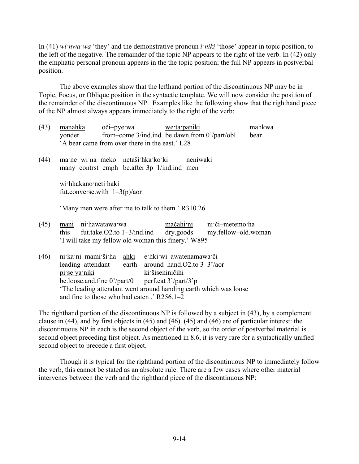In (41) *wi nwa wa* 'they' and the demonstrative pronoun *i niki* 'those' appear in topic position, to the left of the negative. The remainder of the topic NP appears to the right of the verb. In (42) only the emphatic personal pronoun appears in the the topic position; the full NP appears in postverbal position.

The above examples show that the lefthand portion of the discontinuous NP may be in Topic, Focus, or Oblique position in the syntactic template. We will now consider the position of the remainder of the discontinuous NP. Examples like the following show that the righthand piece of the NP almost always appears immediately to the right of the verb:

- (43) manahka oči–pye·wa we·ta·paniki mahkwa yonder from–come 3/ind.ind be.dawn.from 0'/part/obl bear 'A bear came from over there in the east.' L28
- (44) ma·ne=wi·na=meko netaši·hka·ko·ki neniwaki many=contrst=emph be.after 3p–1/ind.ind men

wi·hkakano·neti·haki fut.converse.with  $1-3(p)/a$ or

'Many men were after me to talk to them.' R310.26

- (45) mani ni·hawatawa·wa mačahi·ni ni·či–metemo·ha this fut.take.O2.to 1–3/ind.ind dry.goods my.fellow–old.woman 'I will take my fellow old woman this finery.' W895
- (46) ni·ka·ni–mami·ši·ha ahki e·hki·wi–awatenamawa·či leading–attendant earth around–hand.O2.to 3–3'/aor pi·se·ya·niki ki·šiseniničihi be.loose.and.fine  $0'/part/0$  perf.eat  $3'/part/3'p$ 'The leading attendant went around handing earth which was loose and fine to those who had eaten .' R256.1–2

The righthand portion of the discontinuous NP is followed by a subject in (43), by a complement clause in (44), and by first objects in (45) and (46). (45) and (46) are of particular interest: the discontinuous NP in each is the second object of the verb, so the order of postverbal material is second object preceding first object. As mentioned in 8.6, it is very rare for a syntactically unified second object to precede a first object.

Though it is typical for the righthand portion of the discontinuous NP to immediately follow the verb, this cannot be stated as an absolute rule. There are a few cases where other material intervenes between the verb and the righthand piece of the discontinuous NP: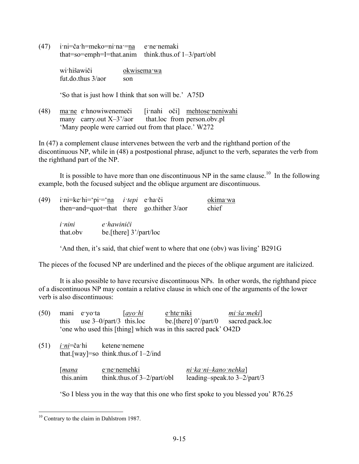(47) i·ni=ča·h=meko=ni·na·=na e·ne·nemaki that=so=emph=I=that.anim think.thus.of 1–3/part/obl

> wi·hišawiči okwisema·wa fut do thus  $3/a$ or son

'So that is just how I think that son will be.' A75D

(48) ma·ne e·hnowiwenemeči [i·nahi oči] mehtose·neniwahi many carry.out  $X-3'/a$ or that.loc from person.obv.pl 'Many people were carried out from that place.' W272

In (47) a complement clause intervenes between the verb and the righthand portion of the discontinuous NP, while in (48) a postpostional phrase, adjunct to the verb, separates the verb from the righthand part of the NP.

It is possible to have more than one discontinuous NP in the same clause.<sup>10</sup> In the following example, both the focused subject and the oblique argument are discontinuous.

| (49) | i·ni=ke·hi='pi·=' <u>na</u> <i>i·tepi</i> e·ha·či |            |                          | then=and=quot=that there go.thither $3/a$ | okima wa<br>chief |
|------|---------------------------------------------------|------------|--------------------------|-------------------------------------------|-------------------|
|      | <i>i</i> nini<br>that.obv                         | e hawiniči | be [there] $3'/part/loc$ |                                           |                   |

'And then, it's said, that chief went to where that one (obv) was living' B291G

The pieces of the focused NP are underlined and the pieces of the oblique argument are italicized.

It is also possible to have recursive discontinuous NPs. In other words, the righthand piece of a discontinuous NP may contain a relative clause in which one of the arguments of the lower verb is also discontinuous:

| (50) | mani e yo ta       | $[ayo\,hi]$                            | e hte niki                                                     | mi ša meki                     |
|------|--------------------|----------------------------------------|----------------------------------------------------------------|--------------------------------|
|      | this               | use $3-0$ /part/3 this.loc             | be [there] $0'/part/0$                                         | sacred.pack.loc                |
|      |                    |                                        | 'one who used this [thing] which was in this sacred pack' O42D |                                |
| (51) | <i>i ni</i> =ča hi | ketene nemene                          |                                                                |                                |
|      |                    | that [way]=so think thus of $1-2$ /ind |                                                                |                                |
|      | mana               | e ne nemehki                           | $ni$ ka ni-kano nehka                                          |                                |
|      | this.anim          | think.thus.of $3-2$ /part/obl          |                                                                | leading-speak.to $3-2$ /part/3 |

'So I bless you in the way that this one who first spoke to you blessed you' R76.25

<u>.</u>

<sup>&</sup>lt;sup>10</sup> Contrary to the claim in Dahlstrom 1987.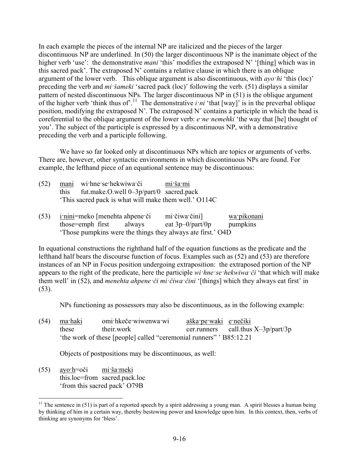In each example the pieces of the internal NP are italicized and the pieces of the larger discontinuous NP are underlined. In (50) the larger discontinuous NP is the inanimate object of the higher verb 'use': the demonstrative *mani* 'this' modifies the extraposed N' '[thing] which was in this sacred pack'. The extraposed N' contains a relative clause in which there is an oblique argument of the lower verb. This oblique argument is also discontinuous, with *ayo·hi* 'this (loc)' preceding the verb and *mi·šameki* 'sacred pack (loc)' following the verb. (51) displays a similar pattern of nested discontinuous NPs. The larger discontinuous NP in (51) is the oblique argument of the higher verb 'think thus of'.<sup>11</sup> The demonstrative  $i \cdot ni$  'that  $[way]$ ' is in the preverbal oblique position, modifying the extraposed N'. The extraposed N' contains a participle in which the head is coreferential to the oblique argument of the lower verb: *e·ne·nemehki* 'the way that [he] thought of you'. The subject of the participle is expressed by a discontinuous NP, with a demonstrative preceding the verb and a participle following.

We have so far looked only at discontinuous NPs which are topics or arguments of verbs. There are, however, other syntactic environments in which discontinuous NPs are found. For example, the lefthand piece of an equational sentence may be discontinuous:

|      | (52) mani withnet sethelarging the settleman contain- | mi ša mi |
|------|-------------------------------------------------------|----------|
| this | fut.make.O.well $0-3p/part/0$ sacred.pack             |          |
|      | This sacred pack is what will make them well.' O114C  |          |

(53) i·nini=meko [menehta ahpene·či mi·čiwa·čini] wa·pikonani those=emph first always eat  $3p-0$ /part/0p pumpkins 'Those pumpkins were the things they always ate first.' O4D

In equational constructions the righthand half of the equation functions as the predicate and the lefthand half bears the discourse function of focus. Examples such as (52) and (53) are therefore instances of an NP in Focus position undergoing extraposition: the extraposed portion of the NP appears to the right of the predicate, here the participle *wi·hne·se·hekwiwa·či* 'that which will make them well' in (52), and *menehta ahpene·či mi·čiwa·čini* '[things] which they always eat first' in (53).

NPs functioning as possessors may also be discontinuous, as in the following example:

(54) ma·haki omi·hkeče·wiwenwa·wi aška·pe·waki e·nečiki these their.work cer.runners call.thus X-3p/part/3p 'the work of these [people] called "ceremonial runners" ' B85:12.21

Objects of postpositions may be discontinuous, as well:

 $(55)$  ayo $\cdot$ h=oči mi·ša·meki this.loc=from sacred.pack.loc 'from this sacred pack' O79B

1

<sup>&</sup>lt;sup>11</sup> The sentence in (51) is part of a reported speech by a spirit addressing a young man. A spirit blesses a human being by thinking of him in a certain way, thereby bestowing power and knowledge upon him. In this context, then, verbs of thinking are synonyms for 'bless'.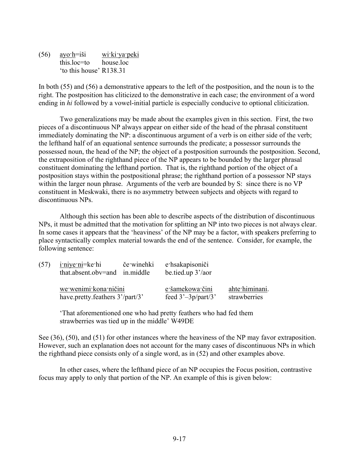(56) ayo·h=iši wi·ki·ya·peki this.loc=to house.loc 'to this house' R138.31

In both (55) and (56) a demonstrative appears to the left of the postposition, and the noun is to the right. The postposition has cliticized to the demonstrative in each case; the environment of a word ending in *hi* followed by a vowel-initial particle is especially conducive to optional cliticization.

Two generalizations may be made about the examples given in this section. First, the two pieces of a discontinuous NP always appear on either side of the head of the phrasal constituent immediately dominating the NP: a discontinuous argument of a verb is on either side of the verb; the lefthand half of an equational sentence surrounds the predicate; a possessor surrounds the possessed noun, the head of the NP; the object of a postposition surrounds the postposition. Second, the extraposition of the righthand piece of the NP appears to be bounded by the larger phrasal constituent dominating the lefthand portion. That is, the righthand portion of the object of a postposition stays within the postpositional phrase; the righthand portion of a possessor NP stays within the larger noun phrase. Arguments of the verb are bounded by S: since there is no VP constituent in Meskwaki, there is no asymmetry between subjects and objects with regard to discontinuous NPs.

Although this section has been able to describe aspects of the distribution of discontinuous NPs, it must be admitted that the motivation for splitting an NP into two pieces is not always clear. In some cases it appears that the 'heaviness' of the NP may be a factor, with speakers preferring to place syntactically complex material towards the end of the sentence. Consider, for example, the following sentence:

|                                 | $(57)$ i'niye ni=ke hi<br>če winehki e hsakapisoniči<br>that.absent.obv=and in.middle |  | be.tied.up 3'/aor     |                |
|---------------------------------|---------------------------------------------------------------------------------------|--|-----------------------|----------------|
| we wenimi kona ničini           |                                                                                       |  | e šamekowa čini       | ahte himinani. |
| have.pretty.feathers 3'/part/3' |                                                                                       |  | feed $3'-3p$ /part/3' | strawberries   |

'That aforementioned one who had pretty feathers who had fed them strawberries was tied up in the middle' W49DE

See (36), (50), and (51) for other instances where the heaviness of the NP may favor extraposition. However, such an explanation does not account for the many cases of discontinuous NPs in which the righthand piece consists only of a single word, as in (52) and other examples above.

In other cases, where the lefthand piece of an NP occupies the Focus position, contrastive focus may apply to only that portion of the NP. An example of this is given below: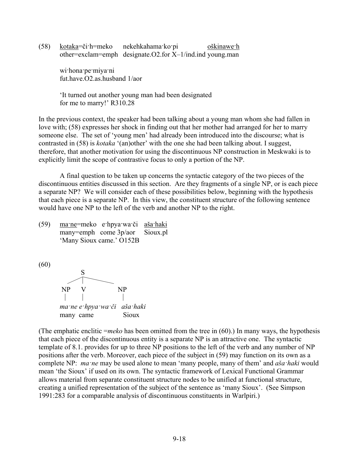(58) kotaka=či·h=meko nekehkahama·ko·pi oškinawe·h other=exclam=emph designate.O2.for X–1/ind.ind young.man

> wi·hona·pe·miya·ni fut.have.O2.as.husband 1/aor

'It turned out another young man had been designated for me to marry!' R310.28

In the previous context, the speaker had been talking about a young man whom she had fallen in love with; (58) expresses her shock in finding out that her mother had arranged for her to marry someone else. The set of 'young men' had already been introduced into the discourse; what is contrasted in (58) is *kotaka* '(an)other' with the one she had been talking about. I suggest, therefore, that another motivation for using the discontinuous NP construction in Meskwaki is to explicitly limit the scope of contrastive focus to only a portion of the NP.

A final question to be taken up concerns the syntactic category of the two pieces of the discontinuous entities discussed in this section. Are they fragments of a single NP, or is each piece a separate NP? We will consider each of these possibilities below, beginning with the hypothesis that each piece is a separate NP. In this view, the constituent structure of the following sentence would have one NP to the left of the verb and another NP to the right.

(59) ma·ne=meko e·hpya·wa·či aša·haki many=emph come 3p/aor Sioux.pl 'Many Sioux came.' O152B

(60)



(The emphatic enclitic =*meko* has been omitted from the tree in (60).) In many ways, the hypothesis that each piece of the discontinuous entity is a separate NP is an attractive one. The syntactic template of 8.1. provides for up to three NP positions to the left of the verb and any number of NP positions after the verb. Moreover, each piece of the subject in (59) may function on its own as a complete NP: *ma·ne* may be used alone to mean 'many people, many of them' and *aša·haki* would mean 'the Sioux' if used on its own. The syntactic framework of Lexical Functional Grammar allows material from separate constituent structure nodes to be unified at functional structure, creating a unified representation of the subject of the sentence as 'many Sioux'. (See Simpson 1991:283 for a comparable analysis of discontinuous constituents in Warlpiri.)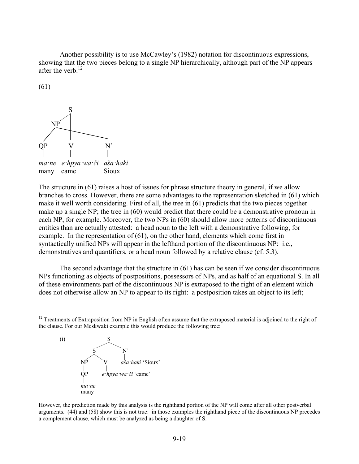Another possibility is to use McCawley's (1982) notation for discontinuous expressions, showing that the two pieces belong to a single NP hierarchically, although part of the NP appears after the verb.<sup>12</sup>

(61)

1



The structure in (61) raises a host of issues for phrase structure theory in general, if we allow branches to cross. However, there are some advantages to the representation sketched in (61) which make it well worth considering. First of all, the tree in (61) predicts that the two pieces together make up a single NP; the tree in (60) would predict that there could be a demonstrative pronoun in each NP, for example. Moreover, the two NPs in (60) should allow more patterns of discontinuous entities than are actually attested: a head noun to the left with a demonstrative following, for example. In the representation of (61), on the other hand, elements which come first in syntactically unified NPs will appear in the lefthand portion of the discontinuous NP: i.e., demonstratives and quantifiers, or a head noun followed by a relative clause (cf. 5.3).

The second advantage that the structure in (61) has can be seen if we consider discontinuous NPs functioning as objects of postpositions, possessors of NPs, and as half of an equational S. In all of these environments part of the discontinuous NP is extraposed to the right of an element which does not otherwise allow an NP to appear to its right: a postposition takes an object to its left;

 $12$  Treatments of Extraposition from NP in English often assume that the extraposed material is adjoined to the right of the clause. For our Meskwaki example this would produce the following tree:



However, the prediction made by this analysis is the righthand portion of the NP will come after all other postverbal arguments. (44) and (58) show this is not true: in those examples the righthand piece of the discontinuous NP precedes a complement clause, which must be analyzed as being a daughter of S.